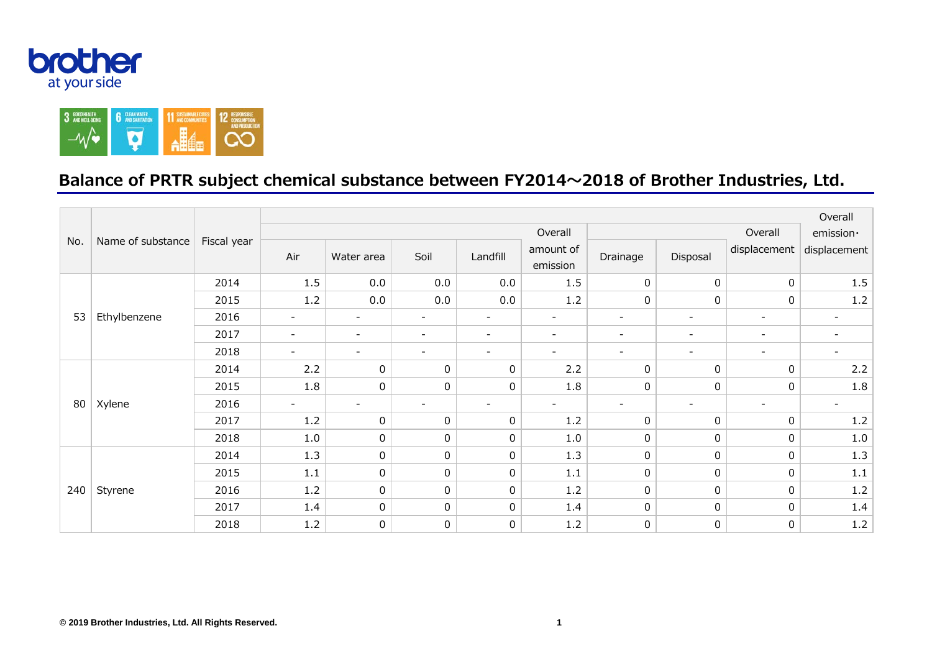



## **Balance of PRTR subject chemical substance between FY2014~2018 of Brother Industries, Ltd.**

|     | Name of substance | Fiscal year | Overall                  |                          |                          |                          |                          |                          |                          |                          |                              |  |
|-----|-------------------|-------------|--------------------------|--------------------------|--------------------------|--------------------------|--------------------------|--------------------------|--------------------------|--------------------------|------------------------------|--|
| No. |                   |             | Overall                  |                          |                          |                          |                          | Overall                  |                          |                          | emission ·                   |  |
|     |                   |             | Air                      | Water area               | Soil                     | Landfill                 | amount of<br>emission    | Drainage                 | Disposal                 | displacement             | displacement                 |  |
| 53  | Ethylbenzene      | 2014        | 1.5                      | 0.0                      | 0.0                      | 0.0                      | 1.5                      | $\mathbf{0}$             | $\mathbf 0$              | $\mathbf 0$              | 1.5                          |  |
|     |                   | 2015        | 1.2                      | 0.0                      | 0.0                      | 0.0                      | 1.2                      | 0                        | $\mathbf 0$              | $\mathbf 0$              | $1.2\,$                      |  |
|     |                   | 2016        | $\overline{\phantom{a}}$ | $\overline{\phantom{a}}$ | $\overline{\phantom{a}}$ | $\overline{\phantom{a}}$ | $\overline{\phantom{a}}$ | $\overline{\phantom{a}}$ | $\overline{\phantom{a}}$ | $\overline{\phantom{a}}$ | $\qquad \qquad$              |  |
|     |                   | 2017        | $\overline{\phantom{a}}$ | $\overline{\phantom{a}}$ | $\overline{a}$           | $\overline{\phantom{a}}$ | $\overline{\phantom{a}}$ | $\overline{\phantom{a}}$ | $\overline{\phantom{a}}$ | $\overline{\phantom{a}}$ | $\qquad \qquad \blacksquare$ |  |
|     |                   | 2018        |                          | $\overline{\phantom{a}}$ | $\overline{\phantom{a}}$ | $\overline{\phantom{a}}$ | $\overline{\phantom{a}}$ | $\overline{a}$           | $\overline{\phantom{a}}$ | $\overline{\phantom{a}}$ | $\overline{\phantom{0}}$     |  |
| 80  | Xylene            | 2014        | 2.2                      | 0                        | 0                        | 0                        | 2.2                      | 0                        | 0                        | 0                        | 2.2                          |  |
|     |                   | 2015        | 1.8                      | 0                        | 0                        | 0                        | 1.8                      | 0                        | 0                        | 0                        | 1.8                          |  |
|     |                   | 2016        |                          | $\sim$                   | $\overline{\phantom{a}}$ | $\overline{\phantom{a}}$ | $\overline{\phantom{a}}$ | $\overline{a}$           |                          | $\overline{\phantom{a}}$ | $\overline{\phantom{a}}$     |  |
|     |                   | 2017        | 1.2                      | 0                        | 0                        | 0                        | 1.2                      | 0                        | 0                        | 0                        | $1.2\,$                      |  |
|     |                   | 2018        | 1.0                      | 0                        | 0                        | 0                        | 1.0                      | 0                        | 0                        | 0                        | $1.0\,$                      |  |
| 240 | Styrene           | 2014        | 1.3                      | 0                        | 0                        | 0                        | 1.3                      | 0                        | $\pmb{0}$                | $\mathbf{0}$             | 1.3                          |  |
|     |                   | 2015        | 1.1                      | 0                        | 0                        | 0                        | 1.1                      | 0                        | 0                        | $\mathbf{0}$             | $1.1\,$                      |  |
|     |                   | 2016        | 1.2                      | 0                        | 0                        | 0                        | 1.2                      | 0                        | 0                        | $\mathbf{0}$             | $1.2\,$                      |  |
|     |                   | 2017        | 1.4                      | 0                        | 0                        | 0                        | 1.4                      | $\mathsf{O}$             | 0                        | $\mathbf{0}$             | 1.4                          |  |
|     |                   | 2018        | 1.2                      | 0                        | 0                        | 0                        | 1.2                      | $\mathbf 0$              | $\pmb{0}$                | 0                        | $1.2\,$                      |  |